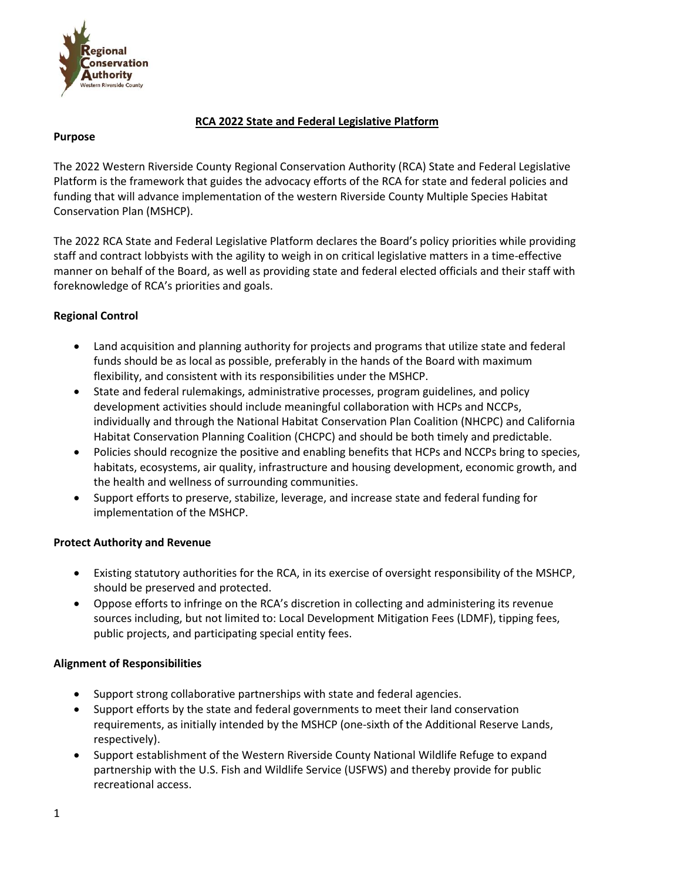

## **RCA 2022 State and Federal Legislative Platform**

#### **Purpose**

The 2022 Western Riverside County Regional Conservation Authority (RCA) State and Federal Legislative Platform is the framework that guides the advocacy efforts of the RCA for state and federal policies and funding that will advance implementation of the western Riverside County Multiple Species Habitat Conservation Plan (MSHCP).

The 2022 RCA State and Federal Legislative Platform declares the Board's policy priorities while providing staff and contract lobbyists with the agility to weigh in on critical legislative matters in a time-effective manner on behalf of the Board, as well as providing state and federal elected officials and their staff with foreknowledge of RCA's priorities and goals.

# **Regional Control**

- Land acquisition and planning authority for projects and programs that utilize state and federal funds should be as local as possible, preferably in the hands of the Board with maximum flexibility, and consistent with its responsibilities under the MSHCP.
- State and federal rulemakings, administrative processes, program guidelines, and policy development activities should include meaningful collaboration with HCPs and NCCPs, individually and through the National Habitat Conservation Plan Coalition (NHCPC) and California Habitat Conservation Planning Coalition (CHCPC) and should be both timely and predictable.
- Policies should recognize the positive and enabling benefits that HCPs and NCCPs bring to species, habitats, ecosystems, air quality, infrastructure and housing development, economic growth, and the health and wellness of surrounding communities.
- Support efforts to preserve, stabilize, leverage, and increase state and federal funding for implementation of the MSHCP.

## **Protect Authority and Revenue**

- Existing statutory authorities for the RCA, in its exercise of oversight responsibility of the MSHCP, should be preserved and protected.
- Oppose efforts to infringe on the RCA's discretion in collecting and administering its revenue sources including, but not limited to: Local Development Mitigation Fees (LDMF), tipping fees, public projects, and participating special entity fees.

## **Alignment of Responsibilities**

- Support strong collaborative partnerships with state and federal agencies.
- Support efforts by the state and federal governments to meet their land conservation requirements, as initially intended by the MSHCP (one-sixth of the Additional Reserve Lands, respectively).
- Support establishment of the Western Riverside County National Wildlife Refuge to expand partnership with the U.S. Fish and Wildlife Service (USFWS) and thereby provide for public recreational access.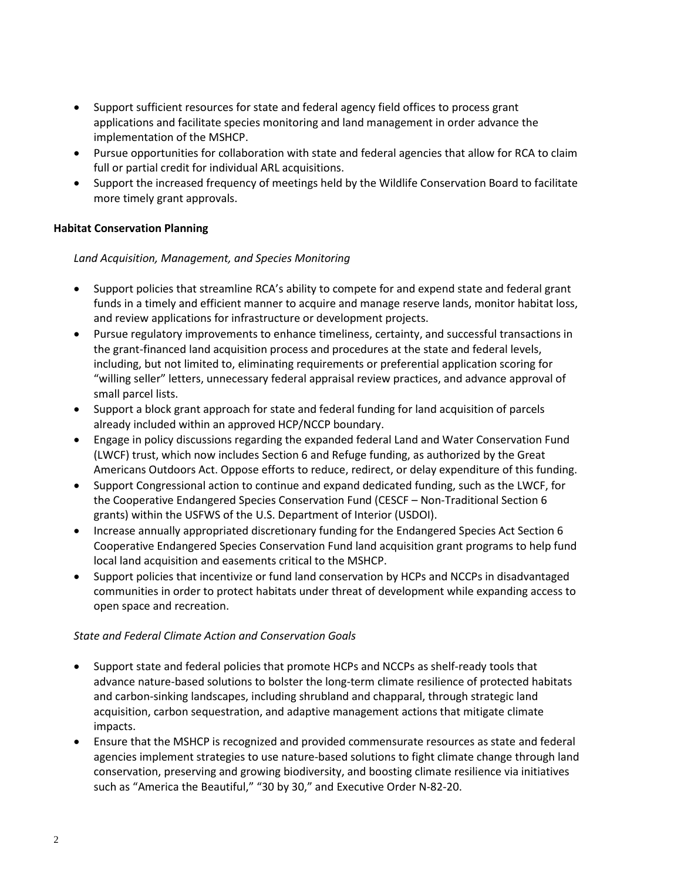- Support sufficient resources for state and federal agency field offices to process grant applications and facilitate species monitoring and land management in order advance the implementation of the MSHCP.
- Pursue opportunities for collaboration with state and federal agencies that allow for RCA to claim full or partial credit for individual ARL acquisitions.
- Support the increased frequency of meetings held by the Wildlife Conservation Board to facilitate more timely grant approvals.

## **Habitat Conservation Planning**

### *Land Acquisition, Management, and Species Monitoring*

- Support policies that streamline RCA's ability to compete for and expend state and federal grant funds in a timely and efficient manner to acquire and manage reserve lands, monitor habitat loss, and review applications for infrastructure or development projects.
- Pursue regulatory improvements to enhance timeliness, certainty, and successful transactions in the grant-financed land acquisition process and procedures at the state and federal levels, including, but not limited to, eliminating requirements or preferential application scoring for "willing seller" letters, unnecessary federal appraisal review practices, and advance approval of small parcel lists.
- Support a block grant approach for state and federal funding for land acquisition of parcels already included within an approved HCP/NCCP boundary.
- Engage in policy discussions regarding the expanded federal Land and Water Conservation Fund (LWCF) trust, which now includes Section 6 and Refuge funding, as authorized by the Great Americans Outdoors Act. Oppose efforts to reduce, redirect, or delay expenditure of this funding.
- Support Congressional action to continue and expand dedicated funding, such as the LWCF, for the Cooperative Endangered Species Conservation Fund (CESCF – Non-Traditional Section 6 grants) within the USFWS of the U.S. Department of Interior (USDOI).
- Increase annually appropriated discretionary funding for the Endangered Species Act Section 6 Cooperative Endangered Species Conservation Fund land acquisition grant programs to help fund local land acquisition and easements critical to the MSHCP.
- Support policies that incentivize or fund land conservation by HCPs and NCCPs in disadvantaged communities in order to protect habitats under threat of development while expanding access to open space and recreation.

## *State and Federal Climate Action and Conservation Goals*

- Support state and federal policies that promote HCPs and NCCPs as shelf-ready tools that advance nature-based solutions to bolster the long-term climate resilience of protected habitats and carbon-sinking landscapes, including shrubland and chapparal, through strategic land acquisition, carbon sequestration, and adaptive management actions that mitigate climate impacts.
- Ensure that the MSHCP is recognized and provided commensurate resources as state and federal agencies implement strategies to use nature-based solutions to fight climate change through land conservation, preserving and growing biodiversity, and boosting climate resilience via initiatives such as "America the Beautiful," "30 by 30," and Executive Order N-82-20.